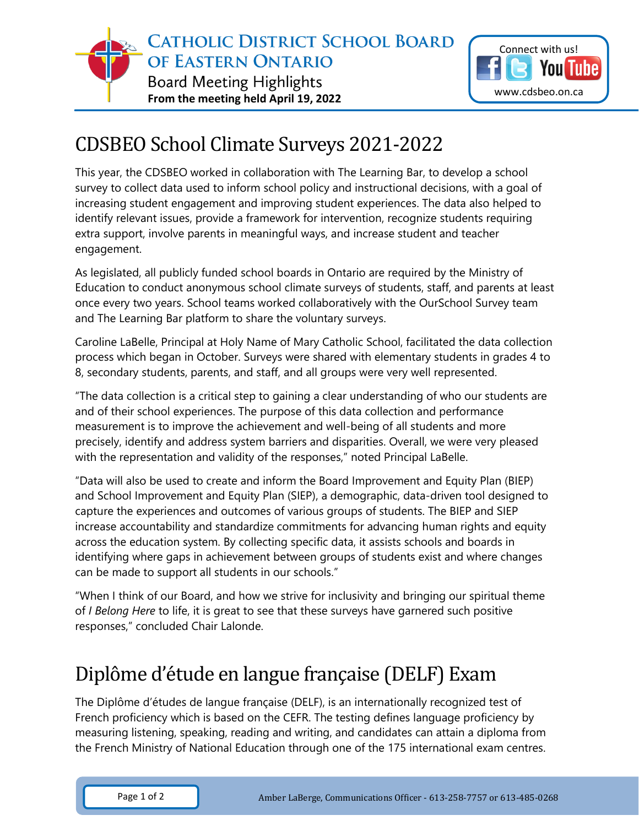



## CDSBEO School Climate Surveys 2021-2022

This year, the CDSBEO worked in collaboration with The Learning Bar, to develop a school survey to collect data used to inform school policy and instructional decisions, with a goal of increasing student engagement and improving student experiences. The data also helped to identify relevant issues, provide a framework for intervention, recognize students requiring extra support, involve parents in meaningful ways, and increase student and teacher engagement.

As legislated, all publicly funded school boards in Ontario are required by the Ministry of Education to conduct anonymous school climate surveys of students, staff, and parents at least once every two years. School teams worked collaboratively with the OurSchool Survey team and The Learning Bar platform to share the voluntary surveys.

Caroline LaBelle, Principal at Holy Name of Mary Catholic School, facilitated the data collection process which began in October. Surveys were shared with elementary students in grades 4 to 8, secondary students, parents, and staff, and all groups were very well represented.

"The data collection is a critical step to gaining a clear understanding of who our students are and of their school experiences. The purpose of this data collection and performance measurement is to improve the achievement and well-being of all students and more precisely, identify and address system barriers and disparities. Overall, we were very pleased with the representation and validity of the responses," noted Principal LaBelle.

"Data will also be used to create and inform the Board Improvement and Equity Plan (BIEP) and School Improvement and Equity Plan (SIEP), a demographic, data-driven tool designed to capture the experiences and outcomes of various groups of students. The BIEP and SIEP increase accountability and standardize commitments for advancing human rights and equity across the education system. By collecting specific data, it assists schools and boards in identifying where gaps in achievement between groups of students exist and where changes can be made to support all students in our schools."

"When I think of our Board, and how we strive for inclusivity and bringing our spiritual theme of *I Belong Here* to life, it is great to see that these surveys have garnered such positive responses," concluded Chair Lalonde.

## Diplôme d'étude en langue française (DELF) Exam

The Diplôme d'études de langue française (DELF), is an internationally recognized test of French proficiency which is based on the CEFR. The testing defines language proficiency by measuring listening, speaking, reading and writing, and candidates can attain a diploma from the French Ministry of National Education through one of the 175 international exam centres.